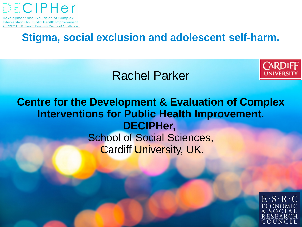

### **Stigma, social exclusion and adolescent self-harm.**

### Rachel Parker



#### **Centre for the Development & Evaluation of Complex Interventions for Public Health Improvement. DECIPHer,** School of Social Sciences, Cardiff University, UK.

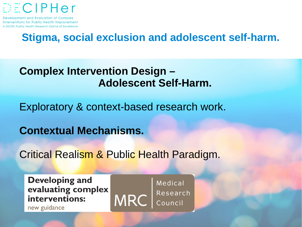

### **Stigma, social exclusion and adolescent self-harm.**

#### **Complex Intervention Design – Adolescent Self-Harm.**

Exploratory & context-based research work.

**Contextual Mechanisms.**

Critical Realism & Public Health Paradigm.

**Developing and** evaluating complex interventions:

new guidance



Medical Research<br>Council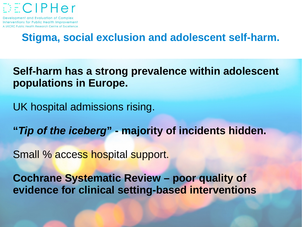

### **Stigma, social exclusion and adolescent self-harm.**

**Self-harm has a strong prevalence within adolescent populations in Europe.**

UK hospital admissions rising.

**"***Tip of the iceberg***" - majority of incidents hidden.**

Small % access hospital support.

**Cochrane Systematic Review – poor quality of evidence for clinical setting-based interventions**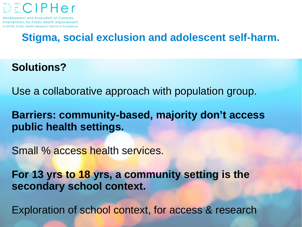

# **Stigma, social exclusion and adolescent self-harm.**

**Solutions?**

Use a collaborative approach with population group.

**Barriers: community-based, majority don't access public health settings.**

Small % access health services.

**For 13 yrs to 18 yrs, a community setting is the secondary school context.**

Exploration of school context, for access & research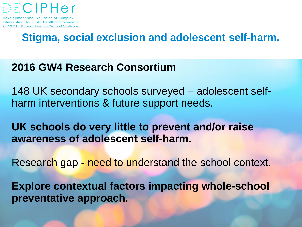

# **Stigma, social exclusion and adolescent self-harm.**

#### **2016 GW4 Research Consortium**

148 UK secondary schools surveyed – adolescent selfharm interventions & future support needs.

**UK schools do very little to prevent and/or raise awareness of adolescent self-harm.** 

Research gap - need to understand the school context.

**Explore contextual factors impacting whole-school preventative approach.**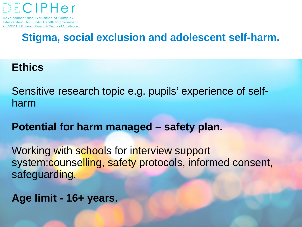

# **Stigma, social exclusion and adolescent self-harm.**

#### **Ethics**

Sensitive research topic e.g. pupils' experience of selfharm

**Potential for harm managed – safety plan.**

Working with schools for interview support system:counselling, safety protocols, informed consent, safeguarding.

**Age limit - 16+ years.**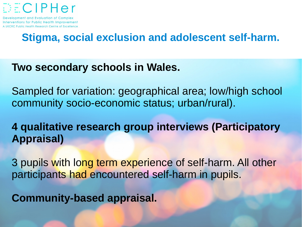

# **Stigma, social exclusion and adolescent self-harm.**

#### **Two secondary schools in Wales.**

Sampled for variation: geographical area; low/high school community socio-economic status; urban/rural).

**4 qualitative research group interviews (Participatory Appraisal)**

3 pupils with long term experience of self-harm. All other participants had encountered self-harm in pupils.

**Community-based appraisal.**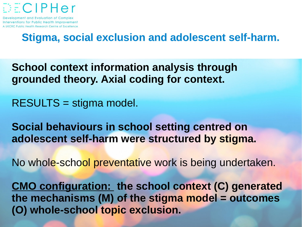

### **Stigma, social exclusion and adolescent self-harm.**

- **School context information analysis through grounded theory. Axial coding for context.**
- RESULTS = stigma model.
- **Social behaviours in school setting centred on adolescent self-harm were structured by stigma.**
- No whole-school preventative work is being undertaken.
- **CMO configuration: the school context (C) generated the mechanisms (M) of the stigma model = outcomes (O) whole-school topic exclusion.**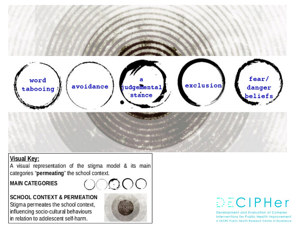

#### **Visual Key:**

A visual representation of the stigma model & its main categories "permeating" the school context.

#### **MAIN CATEGORIES**



**SCHOOL CONTEXT & PERMEATION** Stigma permeates the school context, influencing socio-cultural behaviours in relation to adolescent self-harm.



# DECIPHer

Development and Evaluation of Complex **Interventions for Public Health Improvement** A UKCRC Public Health Research Centre of Excellence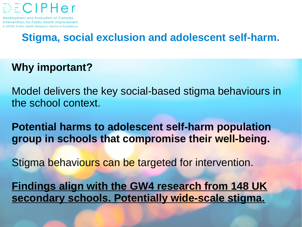

# **Stigma, social exclusion and adolescent self-harm.**

#### **Why important?**

Model delivers the key social-based stigma behaviours in the school context.

**Potential harms to adolescent self-harm population group in schools that compromise their well-being.**

Stigma behaviours can be targeted for intervention.

**Findings align with the GW4 research from 148 UK secondary schools. Potentially wide-scale stigma.**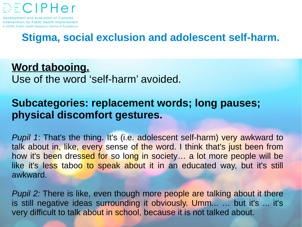

### **Stigma, social exclusion and adolescent self-harm.**

# **Word tabooing.**

Use of the word 'self-harm' avoided.

#### **Subcategories: replacement words; long pauses; physical discomfort gestures.**

*Pupil 1*: That's the thing. It's (i.e. adolescent self-harm) very awkward to talk about in, like, every sense of the word. I think that's just been from how it's been dressed for so long in society… a lot more people will be like it's less taboo to speak about it in an educated way, but it's still awkward.

*Pupil 2:* There is like, even though more people are talking about it there is still negative ideas surrounding it obviously. Umm... … but it's ... it's very difficult to talk about in school, because it is not talked about.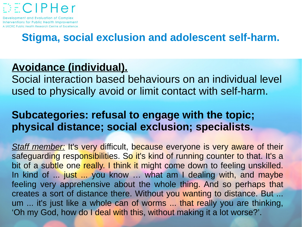

# **Stigma, social exclusion and adolescent self-harm.**

# **Avoidance (individual).**

Social interaction based behaviours on an individual level used to physically avoid or limit contact with self-harm.

#### **Subcategories: refusal to engage with the topic; physical distance; social exclusion; specialists.**

*Staff member:* It's very difficult, because everyone is very aware of their safeguarding responsibilities. So it's kind of running counter to that. It's a bit of a subtle one really. I think it might come down to feeling unskilled. In kind of ... just ... you know … what am I dealing with, and maybe feeling very apprehensive about the whole thing. And so perhaps that creates a sort of distance there. Without you wanting to distance. But ... um ... it's just like a whole can of worms ... that really you are thinking, 'Oh my God, how do I deal with this, without making it a lot worse?'.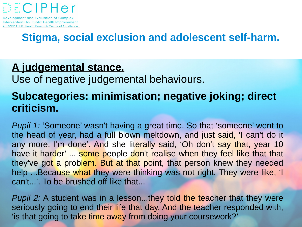

# **Stigma, social exclusion and adolescent self-harm.**

#### **A judgemental stance.**

Use of negative judgemental behaviours.

# **Subcategories: minimisation; negative joking; direct criticism.**

*Pupil 1:* 'Someone' wasn't having a great time. So that 'someone' went to the head of year, had a full blown meltdown, and just said, 'I can't do it any more. I'm done'. And she literally said, 'Oh don't say that, year 10 have it harder' ... some people don't realise when they feel like that that they've got a problem. But at that point, that person knew they needed help ...Because what they were thinking was not right. They were like, 'I can't...'. To be brushed off like that...

*Pupil 2:* A student was in a lesson...they told the teacher that they were seriously going to end their life that day. And the teacher responded with, 'is that going to take time away from doing your coursework?'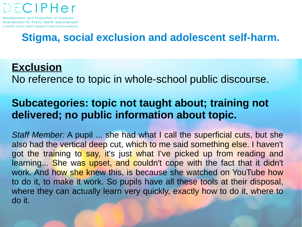

# **Stigma, social exclusion and adolescent self-harm.**

#### **Exclusion**

No reference to topic in whole-school public discourse.

#### **Subcategories: topic not taught about; training not delivered; no public information about topic.**

*Staff Member:* A pupil ... she had what I call the superficial cuts, but she also had the vertical deep cut, which to me said something else. I haven't got the training to say, it's just what I've picked up from reading and learning... She was upset, and couldn't cope with the fact that it didn't work. And how she knew this, is because she watched on YouTube how to do it, to make it work. So pupils have all these tools at their disposal, where they can actually learn very quickly, exactly how to do it, where to do it.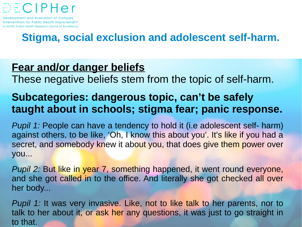

# **Stigma, social exclusion and adolescent self-harm.**

#### **Fear and/or danger beliefs**

These negative beliefs stem from the topic of self-harm.

### **Subcategories: dangerous topic, can't be safely taught about in schools; stigma fear; panic response.**

*Pupil 1:* People can have a tendency to hold it (i.e adolescent self- harm) against others, to be like, 'Oh, I know this about you'. It's like if you had a secret, and somebody knew it about you, that does give them power over you...

*Pupil 2:* But like in year 7, something happened, it went round everyone, and she got called in to the office. And literally she got checked all over her body...

*Pupil 1:* It was very invasive. Like, not to like talk to her parents, nor to talk to her about it, or ask her any questions, it was just to go straight in to that.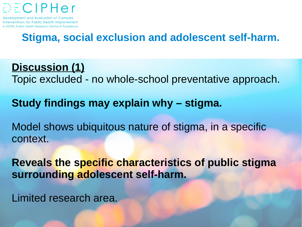

# **Stigma, social exclusion and adolescent self-harm.**

**Discussion (1)** Topic excluded - no whole-school preventative approach.

**Study findings may explain why – stigma.**

Model shows ubiquitous nature of stigma, in a specific context.

**Reveals the specific characteristics of public stigma surrounding adolescent self-harm.**

Limited research area.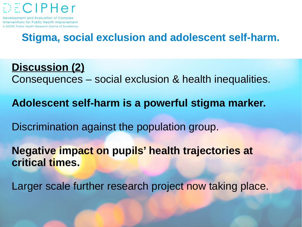

# **Stigma, social exclusion and adolescent self-harm.**

- **Discussion (2)** Consequences – social exclusion & health inequalities.
- **Adolescent self-harm is a powerful stigma marker.**
- Discrimination against the population group.
- **Negative impact on pupils' health trajectories at critical times.**
- Larger scale further research project now taking place.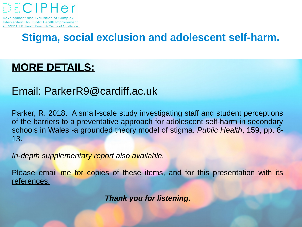

# **Stigma, social exclusion and adolescent self-harm.**

#### **MORE DETAILS:**

#### Email: [ParkerR9@cardiff.ac.uk](mailto:ParkerR9@cardiff.ac.uk)

Parker, R. 2018. A small-scale study investigating staff and student perceptions of the barriers to a preventative approach for adolescent self-harm in secondary schools in Wales -a grounded theory model of stigma. *Public Health*, 159, pp. 8- 13.

*In-depth supplementary report also available.*

Please email me for copies of these items, and for this presentation with its references.

*Thank you for listening.*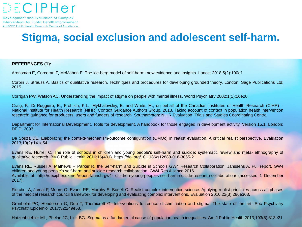

### **Stigma, social exclusion and adolescent self-harm.**

#### **REFERENCES (1):**

Arensman E, Corcoran P, McMahon E. The ice-berg model of self-harm: new evidence and insights. Lancet 2018;5(2):100e1.

Corbin J, Strauss A. Basics of qualitative research. Techniques and procedures for developing grounded theory. London: Sage Publications Ltd; 2015.

Corrigan PW, Watson AC. Understanding the impact of stigma on people with mental illness. World Psychiatry 2002;1(1):16e20.

Craig, P., Di Ruggiero, E., Frohlich, K.L., Mykhalovskiy, E. and White, M., on behalf of the Canadian Institutes of Health Research (CIHR) – National Institute for Health Research (NIHR) Context Guidance Authors Group. 2018. Taking account of context in population health intervention research: guidance for producers, users and funders of research. Southampton: NIHR Evaluation, Trials and Studies Coordinating Centre.

Department for International Development. Tools for development. A handbook for those engaged in development activity. Version 15.1. London: DFID; 2003.

De Souza DE. Elaborating the context-mechanism-outcome configuration (CMOc) in realist evaluation. A critical realist perspective. Evaluation 2013;19(2):141e54.

Evans RE, Hurrell C. The role of schools in children and young people's self-harm and suicide: systematic review and meta- ethnography of qualitative research. BMC Public Health 2016;16(401).<https://doi.org/10.1186/s12889-016-3065-2>.

Evans RE, Russell A, Mathews F, Parker R, the Self-harm and Suicide in Schools GW4 Research Collaboration, Janssens A. Full report. GW4 children and young people's self-harm and suicide research collaboration. GW4 Res Alliance 2016. Available at: <http://decipher.uk.net/report-launch-gw4-> children-young-peoples-self-harm-suicide-research-collaboration/ (accessed 1 December 2017).

Fletcher A, Jamal F, Moore G, Evans RE, Murphy S, Bonell C. Realist complex intervention science. Applying realist principles across all phases of the medical research council framework for developing and evaluating complex interventions. Evaluation 2016;22(3):286e303.

Gronholm PC, Henderson C, Deb T, Thornicroft G. Interventions to reduce discrimination and stigma. The state of the art. Soc Psychiatry Psychiatr Epidemiol 2017;52:249e58.

Hatzenbuehler ML, Phelan JC, Link BG. Stigma as a fundamental cause of population health inequalities. Am J Public Health 2013;103(5):813e21